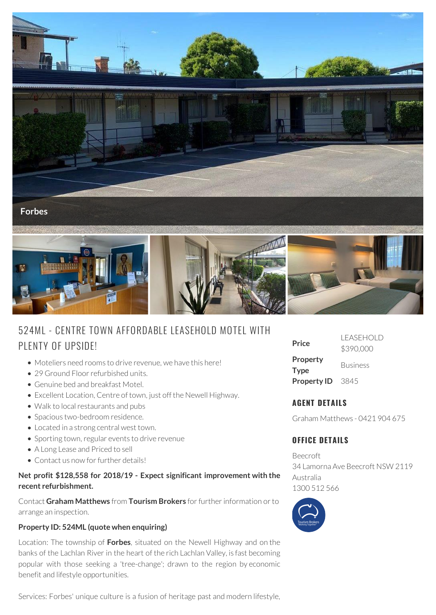

# 524ML - CENTRE TOWN AFFORDABLE LEASEHOLD MOTEL WITH PLENTY OF UPSIDE!

- Moteliers need rooms to drive revenue, we have this here!
- 29 Ground Floor refurbished units.
- Genuine bed and breakfast Motel.
- Excellent Location, Centre of town, just off the Newell Highway.
- Walk to local restaurants and pubs
- Spacious two-bedroom residence.
- Located in a strong central west town.
- Sporting town, regular events to drive revenue
- A Long Lease and Priced to sell
- Contact us now for further details!

#### **Net profit \$128,558 for 2018/19 - Expect significant improvement with the recent refurbishment.**

Contact **Graham Matthews** from **Tourism Brokers** for further information or to arrange an inspection.

### **Property ID: 524ML (quote when enquiring)**

Location: The township of **Forbes**, situated on the Newell Highway and on the banks of the Lachlan River in the heart of the rich Lachlan Valley, is fast becoming popular with those seeking a 'tree-change'; drawn to the region by economic benefit and lifestyle opportunities.

Services: Forbes' unique culture is a fusion of heritage past and modern lifestyle,

| Price                   | I FASEHOI D<br>\$390,000 |
|-------------------------|--------------------------|
| Property<br><b>Type</b> | <b>Business</b>          |
| <b>Property ID</b>      | -3845                    |

### **AGENT DETAILS**

Graham Matthews - 0421 904 675

## **OFFICE DETAILS**

Beecroft 34 Lamorna Ave Beecroft NSW 2119 Australia 1300 512 566